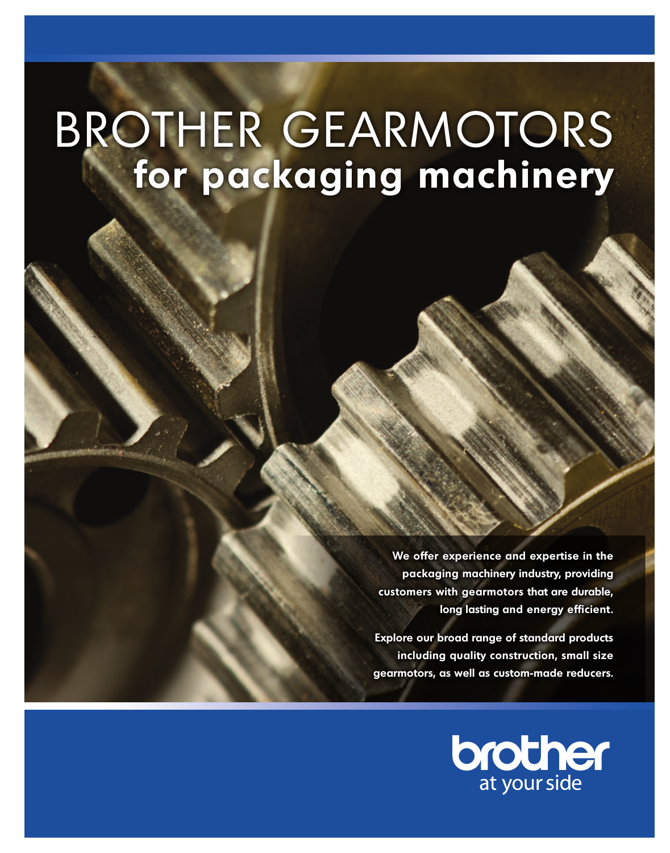# BROTHER GEARMOTORS **for packaging machinery**

**We offer experience and expertise in the packaging machinery industry, providing customers with gearmotors that are durable, long lasting and energy efficient.** 

**Explore our broad range of standard products including quality construction, small size gearmotors, as well as custom-made reducers.**

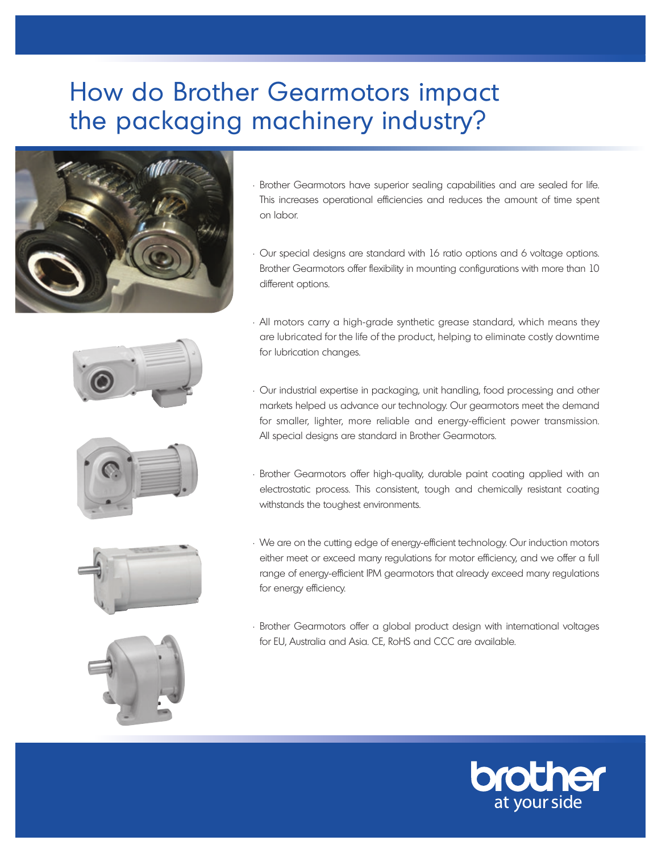# How do Brother Gearmotors impact the packaging machinery industry?





• Our special designs are standard with 16 ratio options and 6 voltage options. Brother Gearmotors offer flexibility in mounting configurations with more than 10 different options.









- All motors carry a high-grade synthetic grease standard, which means they are lubricated for the life of the product, helping to eliminate costly downtime for lubrication changes.
- Our industrial expertise in packaging, unit handling, food processing and other markets helped us advance our technology. Our gearmotors meet the demand for smaller, lighter, more reliable and energy-efficient power transmission. All special designs are standard in Brother Gearmotors.
- Brother Gearmotors offer high-quality, durable paint coating applied with an electrostatic process. This consistent, tough and chemically resistant coating withstands the toughest environments.
- We are on the cutting edge of energy-efficient technology. Our induction motors either meet or exceed many regulations for motor efficiency, and we offer a full range of energy-efficient IPM gearmotors that already exceed many regulations for energy efficiency.
- Brother Gearmotors offer a global product design with international voltages for EU, Australia and Asia. CE, RoHS and CCC are available.

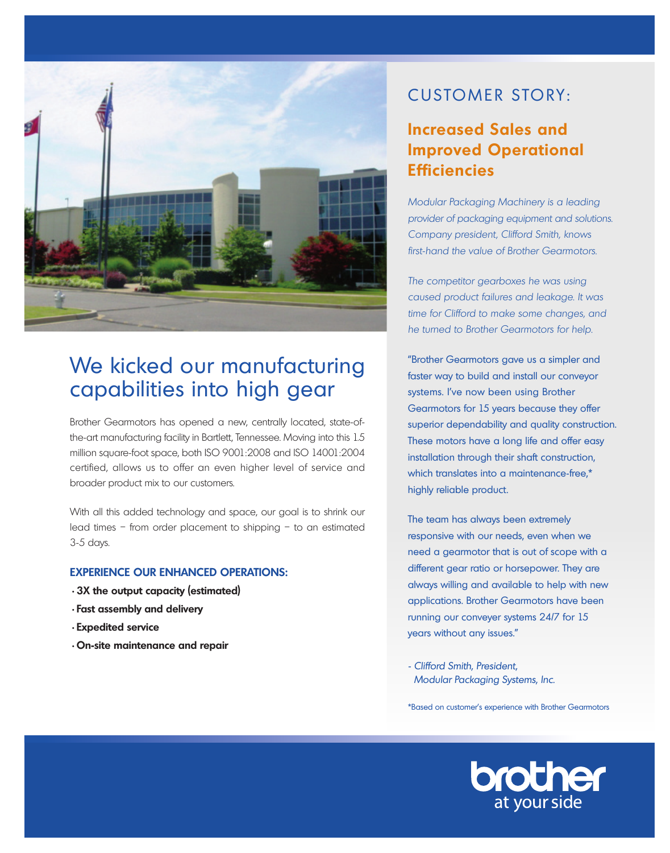

## We kicked our manufacturing capabilities into high gear

Brother Gearmotors has opened a new, centrally located, state-ofthe-art manufacturing facility in Bartlett, Tennessee. Moving into this 1.5 million square-foot space, both ISO 9001:2008 and ISO 14001:2004 certified, allows us to offer an even higher level of service and broader product mix to our customers.

With all this added technology and space, our goal is to shrink our lead times – from order placement to shipping – to an estimated 3-5 days.

#### **Experience our enhanced operations:**

- **•3X the output capacity (estimated)**
- **•Fast assembly and delivery**
- **•Expedited service**
- **•On-site maintenance and repair**

## CUSTOMER STORY:

### **Increased Sales and Improved Operational Efficiencies**

Modular Packaging Machinery is a leading provider of packaging equipment and solutions. Company president, Clifford Smith, knows first-hand the value of Brother Gearmotors.

The competitor gearboxes he was using caused product failures and leakage. It was time for Clifford to make some changes, and he turned to Brother Gearmotors for help.

"Brother Gearmotors gave us a simpler and faster way to build and install our conveyor systems. I've now been using Brother Gearmotors for 15 years because they offer superior dependability and quality construction. These motors have a long life and offer easy installation through their shaft construction, which translates into a maintenance-free.<sup>\*</sup> highly reliable product.

The team has always been extremely responsive with our needs, even when we need a gearmotor that is out of scope with a different gear ratio or horsepower. They are always willing and available to help with new applications. Brother Gearmotors have been running our conveyer systems 24/7 for 15 years without any issues."

- Clifford Smith, President, Modular Packaging Systems, Inc.

\*Based on customer's experience with Brother Gearmotors